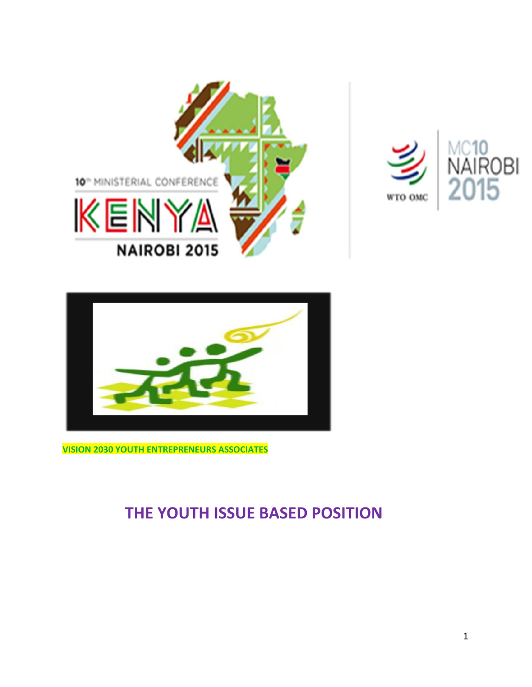





**VISION 2030 YOUTH ENTREPRENEURS ASSOCIATES**

# **THE YOUTH ISSUE BASED POSITION**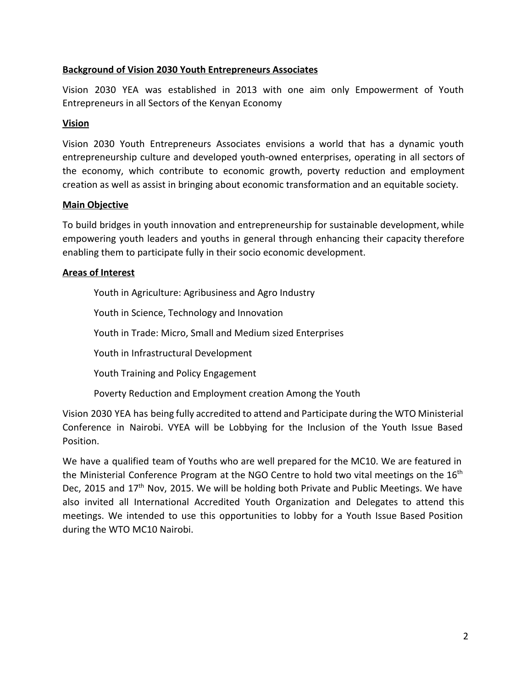#### **Background of Vision 2030 Youth Entrepreneurs Associates**

Vision 2030 YEA was established in 2013 with one aim only Empowerment of Youth Entrepreneurs in all Sectors of the Kenyan Economy

#### **Vision**

Vision 2030 Youth Entrepreneurs Associates envisions a world that has a dynamic youth entrepreneurship culture and developed youth-owned enterprises, operating in all sectors of the economy, which contribute to economic growth, poverty reduction and employment creation as well as assist in bringing about economic transformation and an equitable society.

#### **Main Objective**

To build bridges in youth innovation and entrepreneurship for sustainable development, while empowering youth leaders and youths in general through enhancing their capacity therefore enabling them to participate fully in their socio economic development.

#### **Areas of Interest**

Youth in Agriculture: Agribusiness and Agro Industry

Youth in Science, Technology and Innovation

Youth in Trade: Micro, Small and Medium sized Enterprises

Youth in Infrastructural Development

Youth Training and Policy Engagement

Poverty Reduction and Employment creation Among the Youth

Vision 2030 YEA has being fully accredited to attend and Participate during the WTO Ministerial Conference in Nairobi. VYEA will be Lobbying for the Inclusion of the Youth Issue Based Position.

We have a qualified team of Youths who are well prepared for the MC10. We are featured in the Ministerial Conference Program at the NGO Centre to hold two vital meetings on the  $16^{\text{th}}$ Dec, 2015 and 17<sup>th</sup> Nov, 2015. We will be holding both Private and Public Meetings. We have also invited all International Accredited Youth Organization and Delegates to attend this meetings. We intended to use this opportunities to lobby for a Youth Issue Based Position during the WTO MC10 Nairobi.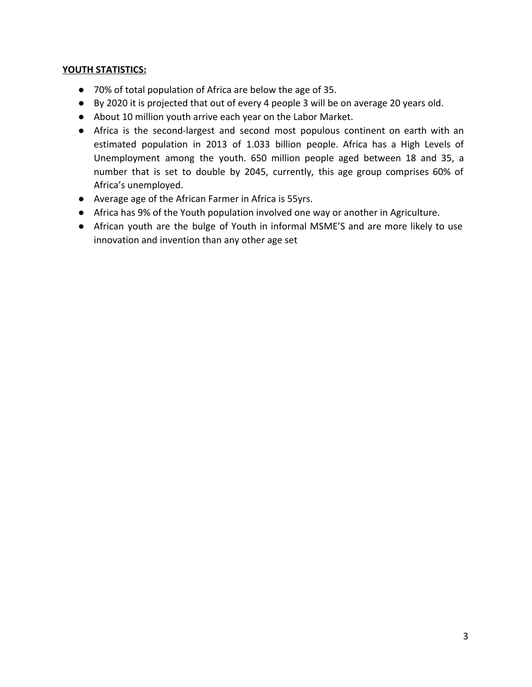#### **YOUTH STATISTICS:**

- 70% of total population of Africa are below the age of 35.
- By 2020 it is projected that out of every 4 people 3 will be on average 20 years old.
- About 10 million youth arrive each year on the Labor Market.
- Africa is the second-largest and second most populous continent on earth with an estimated population in 2013 of 1.033 billion people. Africa has a High Levels of Unemployment among the youth. 650 million people aged between 18 and 35, a number that is set to double by 2045, currently, this age group comprises 60% of Africa's unemployed.
- Average age of the African Farmer in Africa is 55yrs.
- Africa has 9% of the Youth population involved one way or another in Agriculture.
- African youth are the bulge of Youth in informal MSME'S and are more likely to use innovation and invention than any other age set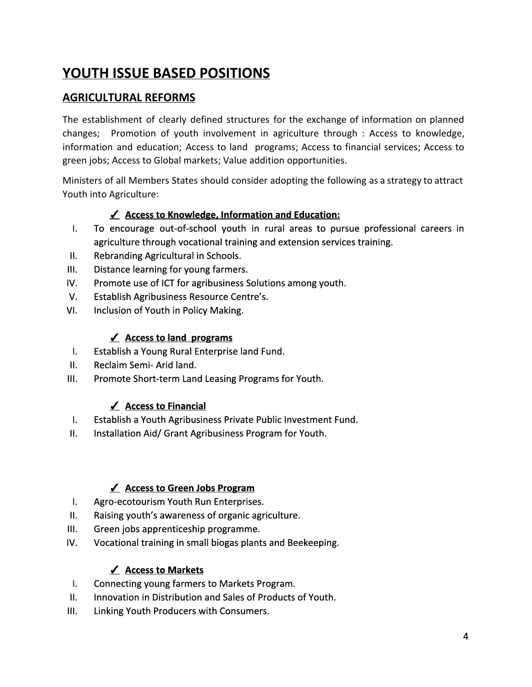# **YOUTH ISSUE BASED POSITIONS**

# **AGRICULTURAL REFORMS**

The establishment of clearly defined structures for the exchange of information on planned changes; Promotion of youth involvement in agriculture through : Access to knowledge, information and education; Access to land programs; Access to financial services; Access to green jobs; Access to Global markets; Value addition opportunities.

Ministers of all Members States should consider adopting the following as a strategy to attract Youth into Agriculture:

## ✓ **Access to Knowledge, Information and Education:**

- I. To encourage out-of-school youth in rural areas to pursue professional careers in agriculture through vocational training and extension services training.
- II. Rebranding Agricultural in Schools.
- III. Distance learning for young farmers.
- IV. Promote use of ICT for agribusiness Solutions among youth.
- V. Establish Agribusiness Resource Centre's.
- VI. Inclusion of Youth in Policy Making.

## ✓ **Access to land programs**

- I. Establish a Young Rural Enterprise land Fund.
- II. Reclaim Semi- Arid land.
- III. Promote Short-term Land Leasing Programs for Youth.

## ✓ **Access to Financial**

- I. Establish a Youth Agribusiness Private Public Investment Fund.
- II. Installation Aid/ Grant Agribusiness Program for Youth.

## ✓ **Access to Green Jobs Program**

- I. Agro-ecotourism Youth Run Enterprises.
- II. Raising youth's awareness of organic agriculture.
- III. Green jobs apprenticeship programme.
- IV. Vocational training in small biogas plants and Beekeeping.

## ✓ **Access to Markets**

- I. Connecting young farmers to Markets Program.
- II. Innovation in Distribution and Sales of Products of Youth.
- III. Linking Youth Producers with Consumers.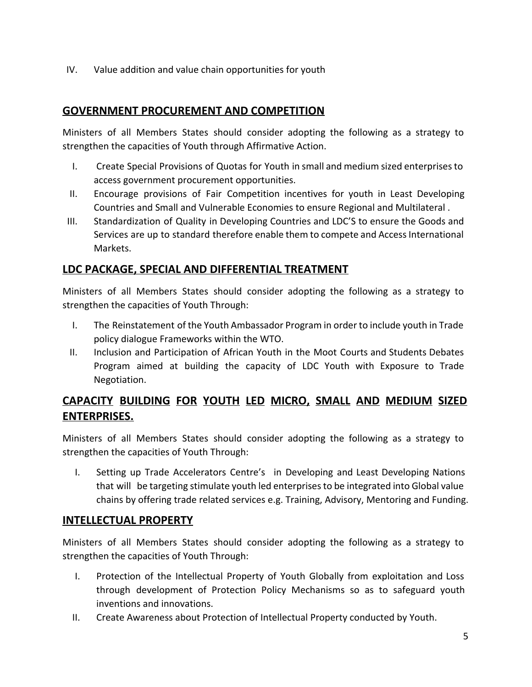IV. Value addition and value chain opportunities for youth

# **GOVERNMENT PROCUREMENT AND COMPETITION**

Ministers of all Members States should consider adopting the following as a strategy to strengthen the capacities of Youth through Affirmative Action.

- I. Create Special Provisions of Quotas for Youth in small and medium sized enterprisesto access government procurement opportunities.
- II. Encourage provisions of Fair Competition incentives for youth in Least Developing Countries and Small and Vulnerable Economies to ensure Regional and Multilateral .
- III. Standardization of Quality in Developing Countries and LDC'S to ensure the Goods and Services are up to standard therefore enable them to compete and Access International Markets.

## **LDC PACKAGE, SPECIAL AND DIFFERENTIAL TREATMENT**

Ministers of all Members States should consider adopting the following as a strategy to strengthen the capacities of Youth Through:

- I. The Reinstatement of the Youth Ambassador Program in order to include youth in Trade policy dialogue Frameworks within the WTO.
- II. Inclusion and Participation of African Youth in the Moot Courts and Students Debates Program aimed at building the capacity of LDC Youth with Exposure to Trade Negotiation.

# **CAPACITY BUILDING FOR YOUTH LED MICRO, SMALL AND MEDIUM SIZED ENTERPRISES.**

Ministers of all Members States should consider adopting the following as a strategy to strengthen the capacities of Youth Through:

I. Setting up Trade Accelerators Centre's in Developing and Least Developing Nations that will be targeting stimulate youth led enterprisesto be integrated into Global value chains by offering trade related services e.g. Training, Advisory, Mentoring and Funding.

# **INTELLECTUAL PROPERTY**

Ministers of all Members States should consider adopting the following as a strategy to strengthen the capacities of Youth Through:

- I. Protection of the Intellectual Property of Youth Globally from exploitation and Loss through development of Protection Policy Mechanisms so as to safeguard youth inventions and innovations.
- II. Create Awareness about Protection of Intellectual Property conducted by Youth.